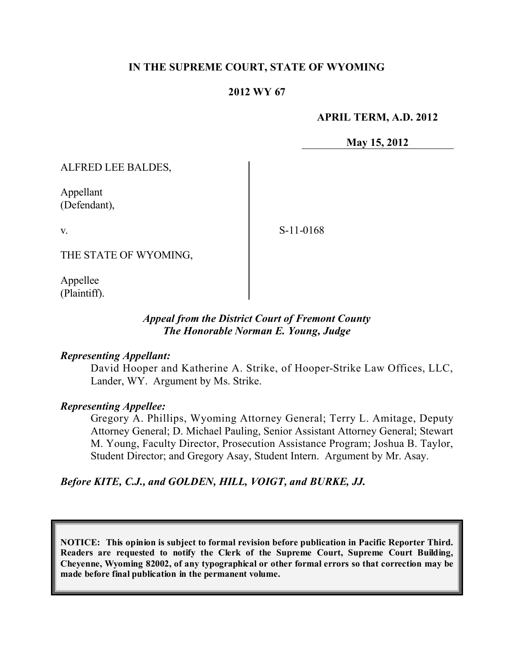### **IN THE SUPREME COURT, STATE OF WYOMING**

#### **2012 WY 67**

**APRIL TERM, A.D. 2012**

**May 15, 2012**

ALFRED LEE BALDES,

Appellant (Defendant),

v.

S-11-0168

THE STATE OF WYOMING,

Appellee (Plaintiff).

### *Appeal from the District Court of Fremont County The Honorable Norman E. Young, Judge*

#### *Representing Appellant:*

David Hooper and Katherine A. Strike, of Hooper-Strike Law Offices, LLC, Lander, WY. Argument by Ms. Strike.

#### *Representing Appellee:*

Gregory A. Phillips, Wyoming Attorney General; Terry L. Amitage, Deputy Attorney General; D. Michael Pauling, Senior Assistant Attorney General; Stewart M. Young, Faculty Director, Prosecution Assistance Program; Joshua B. Taylor, Student Director; and Gregory Asay, Student Intern. Argument by Mr. Asay.

*Before KITE, C.J., and GOLDEN, HILL, VOIGT, and BURKE, JJ.*

**NOTICE: This opinion is subject to formal revision before publication in Pacific Reporter Third. Readers are requested to notify the Clerk of the Supreme Court, Supreme Court Building, Cheyenne, Wyoming 82002, of any typographical or other formal errors so that correction may be made before final publication in the permanent volume.**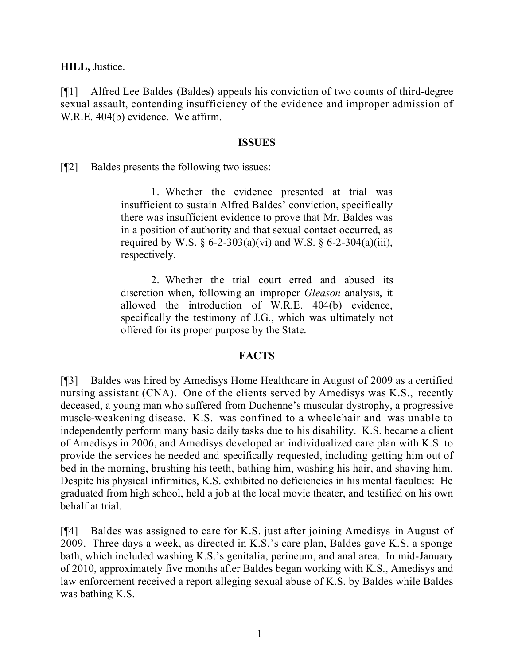**HILL,** Justice.

[¶1] Alfred Lee Baldes (Baldes) appeals his conviction of two counts of third-degree sexual assault, contending insufficiency of the evidence and improper admission of W.R.E. 404(b) evidence. We affirm.

#### **ISSUES**

[¶2] Baldes presents the following two issues:

1. Whether the evidence presented at trial was insufficient to sustain Alfred Baldes' conviction, specifically there was insufficient evidence to prove that Mr. Baldes was in a position of authority and that sexual contact occurred, as required by W.S.  $\S 6$ -2-303(a)(vi) and W.S.  $\S 6$ -2-304(a)(iii), respectively.

2. Whether the trial court erred and abused its discretion when, following an improper *Gleason* analysis, it allowed the introduction of W.R.E. 404(b) evidence, specifically the testimony of J.G., which was ultimately not offered for its proper purpose by the State.

## **FACTS**

[¶3] Baldes was hired by Amedisys Home Healthcare in August of 2009 as a certified nursing assistant (CNA). One of the clients served by Amedisys was K.S., recently deceased, a young man who suffered from Duchenne's muscular dystrophy, a progressive muscle-weakening disease. K.S. was confined to a wheelchair and was unable to independently perform many basic daily tasks due to his disability. K.S. became a client of Amedisys in 2006, and Amedisys developed an individualized care plan with K.S. to provide the services he needed and specifically requested, including getting him out of bed in the morning, brushing his teeth, bathing him, washing his hair, and shaving him. Despite his physical infirmities, K.S. exhibited no deficiencies in his mental faculties: He graduated from high school, held a job at the local movie theater, and testified on his own behalf at trial.

[¶4] Baldes was assigned to care for K.S. just after joining Amedisys in August of 2009. Three days a week, as directed in K.S.'s care plan, Baldes gave K.S. a sponge bath, which included washing K.S.'s genitalia, perineum, and anal area. In mid-January of 2010, approximately five months after Baldes began working with K.S., Amedisys and law enforcement received a report alleging sexual abuse of K.S. by Baldes while Baldes was bathing K.S.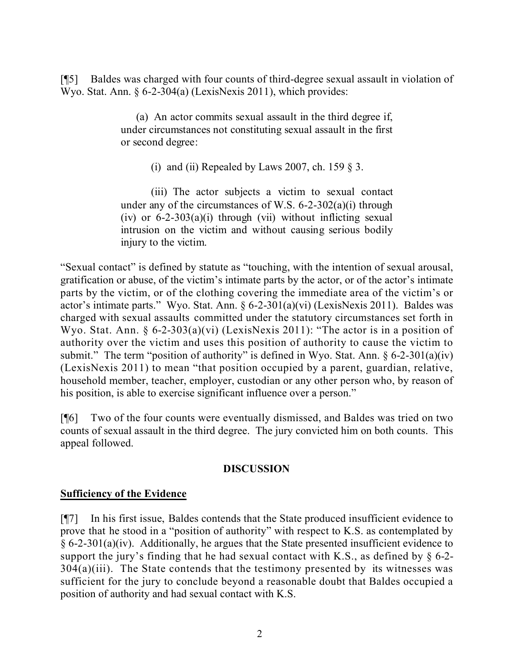[¶5] Baldes was charged with four counts of third-degree sexual assault in violation of Wyo. Stat. Ann. § 6-2-304(a) (LexisNexis 2011), which provides:

> (a) An actor commits sexual assault in the third degree if, under circumstances not constituting sexual assault in the first or second degree:

> > (i) and (ii) Repealed by Laws 2007, ch. 159  $\S$  3.

(iii) The actor subjects a victim to sexual contact under any of the circumstances of W.S.  $6-2-302(a)(i)$  through (iv) or  $6-2-303(a)(i)$  through (vii) without inflicting sexual intrusion on the victim and without causing serious bodily injury to the victim.

"Sexual contact" is defined by statute as "touching, with the intention of sexual arousal, gratification or abuse, of the victim's intimate parts by the actor, or of the actor's intimate parts by the victim, or of the clothing covering the immediate area of the victim's or actor's intimate parts." Wyo. Stat. Ann. § 6-2-301(a)(vi) (LexisNexis 2011). Baldes was charged with sexual assaults committed under the statutory circumstances set forth in Wyo. Stat. Ann. § 6-2-303(a)(vi) (LexisNexis 2011): "The actor is in a position of authority over the victim and uses this position of authority to cause the victim to submit." The term "position of authority" is defined in Wyo. Stat. Ann.  $\S 6-2-301(a)(iv)$ (LexisNexis 2011) to mean "that position occupied by a parent, guardian, relative, household member, teacher, employer, custodian or any other person who, by reason of his position, is able to exercise significant influence over a person."

[¶6] Two of the four counts were eventually dismissed, and Baldes was tried on two counts of sexual assault in the third degree. The jury convicted him on both counts. This appeal followed.

# **DISCUSSION**

## **Sufficiency of the Evidence**

[¶7] In his first issue, Baldes contends that the State produced insufficient evidence to prove that he stood in a "position of authority" with respect to K.S. as contemplated by  $§ 6-2-301(a)(iv)$ . Additionally, he argues that the State presented insufficient evidence to support the jury's finding that he had sexual contact with K.S., as defined by  $\S$  6-2- $304(a)(iii)$ . The State contends that the testimony presented by its witnesses was sufficient for the jury to conclude beyond a reasonable doubt that Baldes occupied a position of authority and had sexual contact with K.S.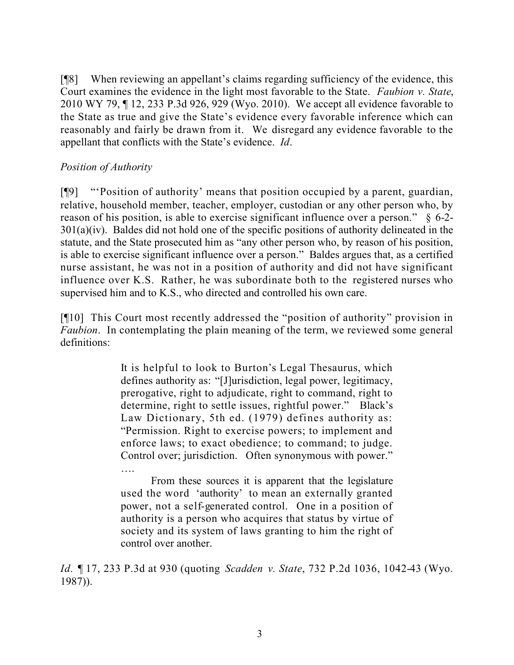[¶8] When reviewing an appellant's claims regarding sufficiency of the evidence, this Court examines the evidence in the light most favorable to the State. *Faubion v. State*, 2010 WY 79, ¶ 12, 233 P.3d 926, 929 (Wyo. 2010). We accept all evidence favorable to the State as true and give the State's evidence every favorable inference which can reasonably and fairly be drawn from it. We disregard any evidence favorable to the appellant that conflicts with the State's evidence. *Id*.

# *Position of Authority*

[¶9] "'Position of authority' means that position occupied by a parent, guardian, relative, household member, teacher, employer, custodian or any other person who, by reason of his position, is able to exercise significant influence over a person." § 6-2-  $301(a)(iv)$ . Baldes did not hold one of the specific positions of authority delineated in the statute, and the State prosecuted him as "any other person who, by reason of his position, is able to exercise significant influence over a person." Baldes argues that, as a certified nurse assistant, he was not in a position of authority and did not have significant influence over K.S. Rather, he was subordinate both to the registered nurses who supervised him and to K.S., who directed and controlled his own care.

[¶10] This Court most recently addressed the "position of authority" provision in *Faubion*. In contemplating the plain meaning of the term, we reviewed some general definitions:

> It is helpful to look to Burton's Legal Thesaurus, which defines authority as: "[J]urisdiction, legal power, legitimacy, prerogative, right to adjudicate, right to command, right to determine, right to settle issues, rightful power." Black's Law Dictionary, 5th ed. (1979) defines authority as: "Permission. Right to exercise powers; to implement and enforce laws; to exact obedience; to command; to judge. Control over; jurisdiction. Often synonymous with power." ….

> From these sources it is apparent that the legislature used the word 'authority' to mean an externally granted power, not a self-generated control. One in a position of authority is a person who acquires that status by virtue of society and its system of laws granting to him the right of control over another.

*Id. ¶* 17, 233 P.3d at 930 (quoting *Scadden v. State*, 732 P.2d 1036, 1042-43 (Wyo. 1987)).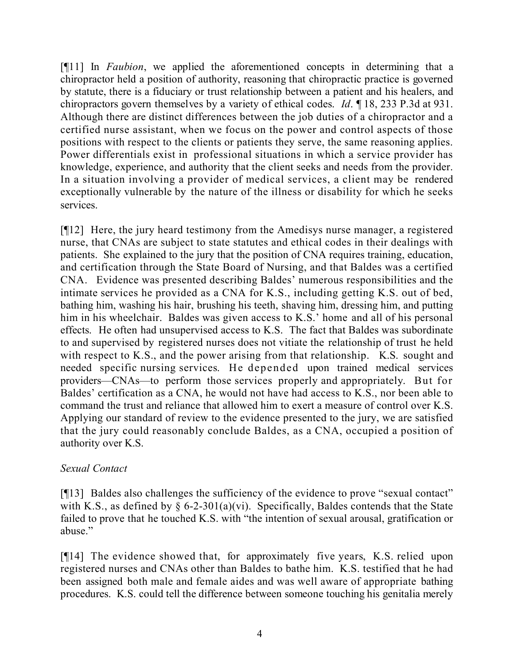[¶11] In *Faubion*, we applied the aforementioned concepts in determining that a chiropractor held a position of authority, reasoning that chiropractic practice is governed by statute, there is a fiduciary or trust relationship between a patient and his healers, and chiropractors govern themselves by a variety of ethical codes. *Id*. ¶ 18, 233 P.3d at 931. Although there are distinct differences between the job duties of a chiropractor and a certified nurse assistant, when we focus on the power and control aspects of those positions with respect to the clients or patients they serve, the same reasoning applies. Power differentials exist in professional situations in which a service provider has knowledge, experience, and authority that the client seeks and needs from the provider. In a situation involving a provider of medical services, a client may be rendered exceptionally vulnerable by the nature of the illness or disability for which he seeks services.

[¶12] Here, the jury heard testimony from the Amedisys nurse manager, a registered nurse, that CNAs are subject to state statutes and ethical codes in their dealings with patients. She explained to the jury that the position of CNA requires training, education, and certification through the State Board of Nursing, and that Baldes was a certified CNA. Evidence was presented describing Baldes' numerous responsibilities and the intimate services he provided as a CNA for K.S., including getting K.S. out of bed, bathing him, washing his hair, brushing his teeth, shaving him, dressing him, and putting him in his wheelchair. Baldes was given access to K.S.' home and all of his personal effects. He often had unsupervised access to K.S. The fact that Baldes was subordinate to and supervised by registered nurses does not vitiate the relationship of trust he held with respect to K.S., and the power arising from that relationship. K.S. sought and needed specific nursing services. He depended upon trained medical services providers—CNAs—to perform those services properly and appropriately. But for Baldes' certification as a CNA, he would not have had access to K.S., nor been able to command the trust and reliance that allowed him to exert a measure of control over K.S. Applying our standard of review to the evidence presented to the jury, we are satisfied that the jury could reasonably conclude Baldes, as a CNA, occupied a position of authority over K.S.

## *Sexual Contact*

[¶13] Baldes also challenges the sufficiency of the evidence to prove "sexual contact" with K.S., as defined by  $\S 6$ -2-301(a)(vi). Specifically, Baldes contends that the State failed to prove that he touched K.S. with "the intention of sexual arousal, gratification or abuse."

[¶14] The evidence showed that, for approximately five years, K.S. relied upon registered nurses and CNAs other than Baldes to bathe him. K.S. testified that he had been assigned both male and female aides and was well aware of appropriate bathing procedures. K.S. could tell the difference between someone touching his genitalia merely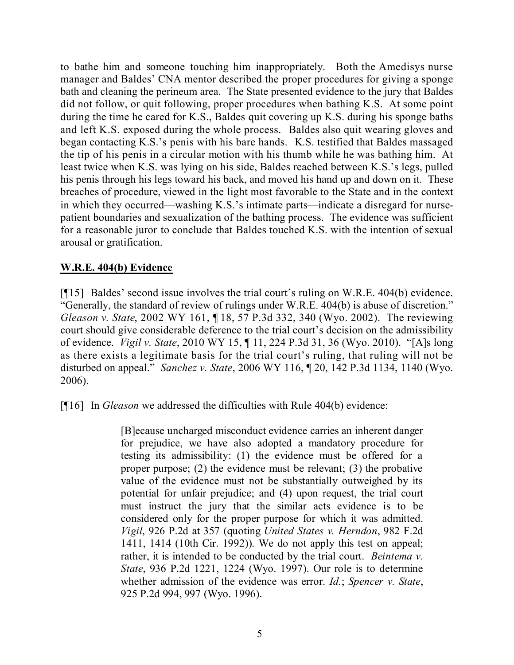to bathe him and someone touching him inappropriately. Both the Amedisys nurse manager and Baldes' CNA mentor described the proper procedures for giving a sponge bath and cleaning the perineum area. The State presented evidence to the jury that Baldes did not follow, or quit following, proper procedures when bathing K.S. At some point during the time he cared for K.S., Baldes quit covering up K.S. during his sponge baths and left K.S. exposed during the whole process. Baldes also quit wearing gloves and began contacting K.S.'s penis with his bare hands. K.S. testified that Baldes massaged the tip of his penis in a circular motion with his thumb while he was bathing him. At least twice when K.S. was lying on his side, Baldes reached between K.S.'s legs, pulled his penis through his legs toward his back, and moved his hand up and down on it. These breaches of procedure, viewed in the light most favorable to the State and in the context in which they occurred—washing K.S.'s intimate parts—indicate a disregard for nursepatient boundaries and sexualization of the bathing process. The evidence was sufficient for a reasonable juror to conclude that Baldes touched K.S. with the intention of sexual arousal or gratification.

# **W.R.E. 404(b) Evidence**

[¶15] Baldes' second issue involves the trial court's ruling on W.R.E. 404(b) evidence. "Generally, the standard of review of rulings under W.R.E. 404(b) is abuse of discretion." *Gleason v. State*, 2002 WY 161, ¶ 18, 57 P.3d 332, 340 (Wyo. 2002). The reviewing court should give considerable deference to the trial court's decision on the admissibility of evidence. *Vigil v. State*, 2010 WY 15, ¶ 11, 224 P.3d 31, 36 (Wyo. 2010). "[A]s long as there exists a legitimate basis for the trial court's ruling, that ruling will not be disturbed on appeal." *Sanchez v. State*, 2006 WY 116, ¶ 20, 142 P.3d 1134, 1140 (Wyo. 2006).

[¶16] In *Gleason* we addressed the difficulties with Rule 404(b) evidence:

[B]ecause uncharged misconduct evidence carries an inherent danger for prejudice, we have also adopted a mandatory procedure for testing its admissibility: (1) the evidence must be offered for a proper purpose; (2) the evidence must be relevant; (3) the probative value of the evidence must not be substantially outweighed by its potential for unfair prejudice; and (4) upon request, the trial court must instruct the jury that the similar acts evidence is to be considered only for the proper purpose for which it was admitted. *Vigil*, 926 P.2d at 357 (quoting *United States v. Herndon*, 982 F.2d 1411, 1414 (10th Cir. 1992)). We do not apply this test on appeal; rather, it is intended to be conducted by the trial court. *Beintema v. State*, 936 P.2d 1221, 1224 (Wyo. 1997). Our role is to determine whether admission of the evidence was error. *Id.*; *Spencer v. State*, 925 P.2d 994, 997 (Wyo. 1996).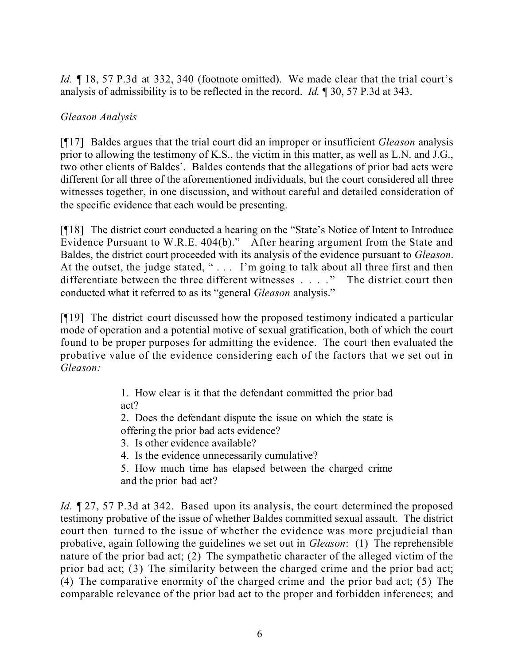*Id.* 18, 57 P.3d at 332, 340 (footnote omitted). We made clear that the trial court's analysis of admissibility is to be reflected in the record. *Id.* ¶ 30, 57 P.3d at 343.

# *Gleason Analysis*

[¶17] Baldes argues that the trial court did an improper or insufficient *Gleason* analysis prior to allowing the testimony of K.S., the victim in this matter, as well as L.N. and J.G., two other clients of Baldes'. Baldes contends that the allegations of prior bad acts were different for all three of the aforementioned individuals, but the court considered all three witnesses together, in one discussion, and without careful and detailed consideration of the specific evidence that each would be presenting.

[¶18] The district court conducted a hearing on the "State's Notice of Intent to Introduce Evidence Pursuant to W.R.E. 404(b)." After hearing argument from the State and Baldes, the district court proceeded with its analysis of the evidence pursuant to *Gleason*. At the outset, the judge stated, "... I'm going to talk about all three first and then differentiate between the three different witnesses . . . ." The district court then conducted what it referred to as its "general *Gleason* analysis."

[¶19] The district court discussed how the proposed testimony indicated a particular mode of operation and a potential motive of sexual gratification, both of which the court found to be proper purposes for admitting the evidence. The court then evaluated the probative value of the evidence considering each of the factors that we set out in *Gleason:*

> 1. How clear is it that the defendant committed the prior bad act?

> 2. Does the defendant dispute the issue on which the state is offering the prior bad acts evidence?

3. Is other evidence available?

4. Is the evidence unnecessarily cumulative?

5. How much time has elapsed between the charged crime and the prior bad act?

*Id.*  $\mathbb{Z}$  27, 57 P.3d at 342. Based upon its analysis, the court determined the proposed testimony probative of the issue of whether Baldes committed sexual assault. The district court then turned to the issue of whether the evidence was more prejudicial than probative, again following the guidelines we set out in *Gleason*: (1) The reprehensible nature of the prior bad act; (2) The sympathetic character of the alleged victim of the prior bad act; (3) The similarity between the charged crime and the prior bad act; (4) The comparative enormity of the charged crime and the prior bad act; (5) The comparable relevance of the prior bad act to the proper and forbidden inferences; and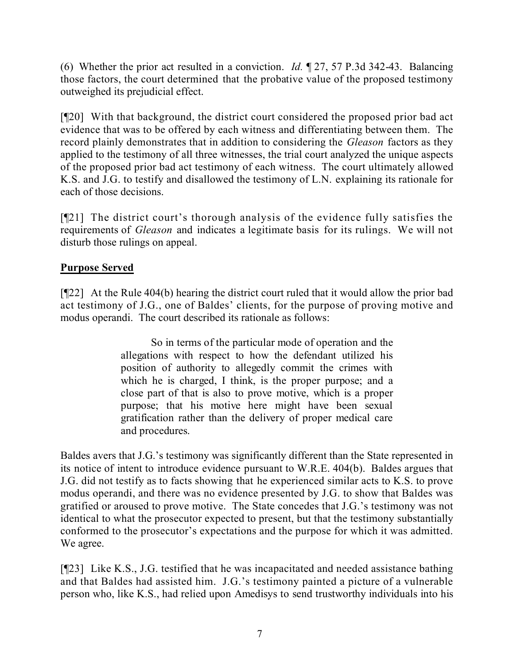(6) Whether the prior act resulted in a conviction. *Id.* ¶ 27, 57 P.3d 342-43. Balancing those factors, the court determined that the probative value of the proposed testimony outweighed its prejudicial effect.

[¶20] With that background, the district court considered the proposed prior bad act evidence that was to be offered by each witness and differentiating between them. The record plainly demonstrates that in addition to considering the *Gleason* factors as they applied to the testimony of all three witnesses, the trial court analyzed the unique aspects of the proposed prior bad act testimony of each witness. The court ultimately allowed K.S. and J.G. to testify and disallowed the testimony of L.N. explaining its rationale for each of those decisions.

[¶21] The district court's thorough analysis of the evidence fully satisfies the requirements of *Gleason* and indicates a legitimate basis for its rulings. We will not disturb those rulings on appeal.

# **Purpose Served**

[¶22] At the Rule 404(b) hearing the district court ruled that it would allow the prior bad act testimony of J.G., one of Baldes' clients, for the purpose of proving motive and modus operandi. The court described its rationale as follows:

> So in terms of the particular mode of operation and the allegations with respect to how the defendant utilized his position of authority to allegedly commit the crimes with which he is charged, I think, is the proper purpose; and a close part of that is also to prove motive, which is a proper purpose; that his motive here might have been sexual gratification rather than the delivery of proper medical care and procedures.

Baldes avers that J.G.'s testimony was significantly different than the State represented in its notice of intent to introduce evidence pursuant to W.R.E. 404(b). Baldes argues that J.G. did not testify as to facts showing that he experienced similar acts to K.S. to prove modus operandi, and there was no evidence presented by J.G. to show that Baldes was gratified or aroused to prove motive. The State concedes that J.G.'s testimony was not identical to what the prosecutor expected to present, but that the testimony substantially conformed to the prosecutor's expectations and the purpose for which it was admitted. We agree.

[¶23] Like K.S., J.G. testified that he was incapacitated and needed assistance bathing and that Baldes had assisted him. J.G.'s testimony painted a picture of a vulnerable person who, like K.S., had relied upon Amedisys to send trustworthy individuals into his